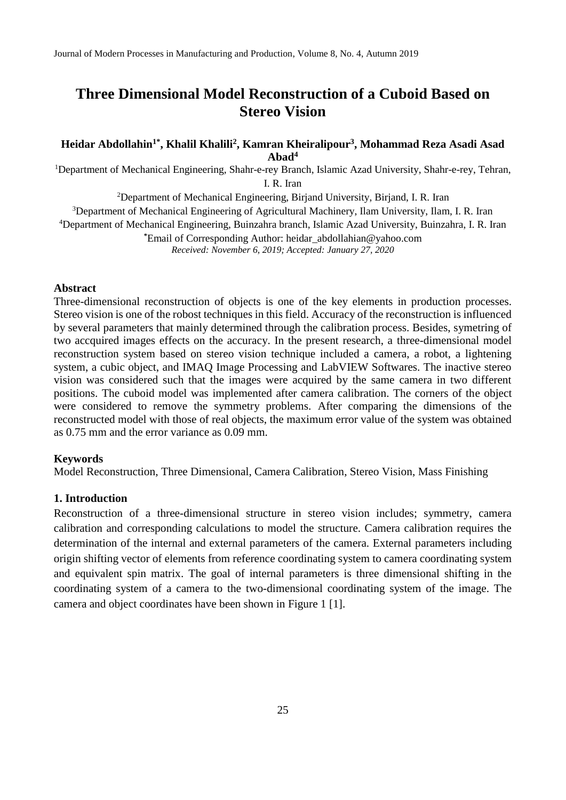# **Three Dimensional Model Reconstruction of a Cuboid Based on Stereo Vision**

# **Heidar Abdollahin1\*, Khalil Khalili<sup>2</sup> , Kamran Kheiralipour<sup>3</sup> , Mohammad Reza Asadi Asad Abad<sup>4</sup>**

<sup>1</sup>Department of Mechanical Engineering, Shahr-e-rey Branch, Islamic Azad University, Shahr-e-rey, Tehran, I. R. Iran

<sup>2</sup>Department of Mechanical Engineering, Birjand University, Birjand, I. R. Iran <sup>3</sup>Department of Mechanical Engineering of Agricultural Machinery, Ilam University, Ilam, I. R. Iran <sup>4</sup>Department of Mechanical Engineering, Buinzahra branch, Islamic Azad University, Buinzahra, I. R. Iran **\***Email of Corresponding Author: heidar\_abdollahian@yahoo.com *Received: November 6, 2019; Accepted: January 27, 2020*

#### **Abstract**

Three-dimensional reconstruction of objects is one of the key elements in production processes. Stereo vision is one of the robost techniques in this field. Accuracy of the reconstruction is influenced by several parameters that mainly determined through the calibration process. Besides, symetring of two accquired images effects on the accuracy. In the present research, a three-dimensional model reconstruction system based on stereo vision technique included a camera, a robot, a lightening system, a cubic object, and IMAQ Image Processing and LabVIEW Softwares. The inactive stereo vision was considered such that the images were acquired by the same camera in two different positions. The cuboid model was implemented after camera calibration. The corners of the object were considered to remove the symmetry problems. After comparing the dimensions of the reconstructed model with those of real objects, the maximum error value of the system was obtained as 0.75 mm and the error variance as 0.09 mm.

#### **Keywords**

Model Reconstruction, Three Dimensional, Camera Calibration, Stereo Vision, Mass Finishing

### **1. Introduction**

Reconstruction of a three-dimensional structure in stereo vision includes; symmetry, camera calibration and corresponding calculations to model the structure. Camera calibration requires the determination of the internal and external parameters of the camera. External parameters including origin shifting vector of elements from reference coordinating system to camera coordinating system and equivalent spin matrix. The goal of internal parameters is three dimensional shifting in the coordinating system of a camera to the two-dimensional coordinating system of the image. The camera and object coordinates have been shown in Figure 1 [1].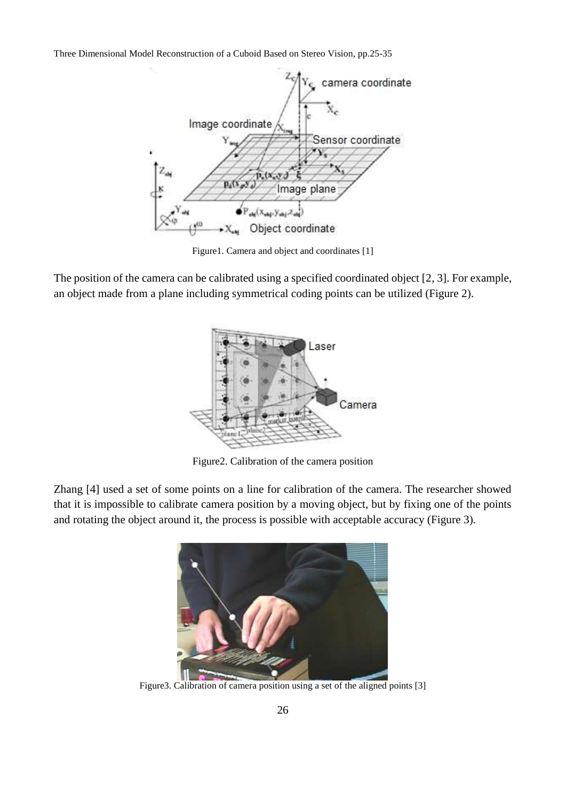Three Dimensional Model Reconstruction of a Cuboid Based on Stereo Vision, pp.25-35



Figure1. Camera and object and coordinates [1]

The position of the camera can be calibrated using a specified coordinated object [2, 3]. For example, an object made from a plane including symmetrical coding points can be utilized (Figure 2).



Figure2. Calibration of the camera position

Zhang [4] used a set of some points on a line for calibration of the camera. The researcher showed that it is impossible to calibrate camera position by a moving object, but by fixing one of the points and rotating the object around it, the process is possible with acceptable accuracy (Figure 3).



Figure3. Calibration of camera position using a set of the aligned points [3]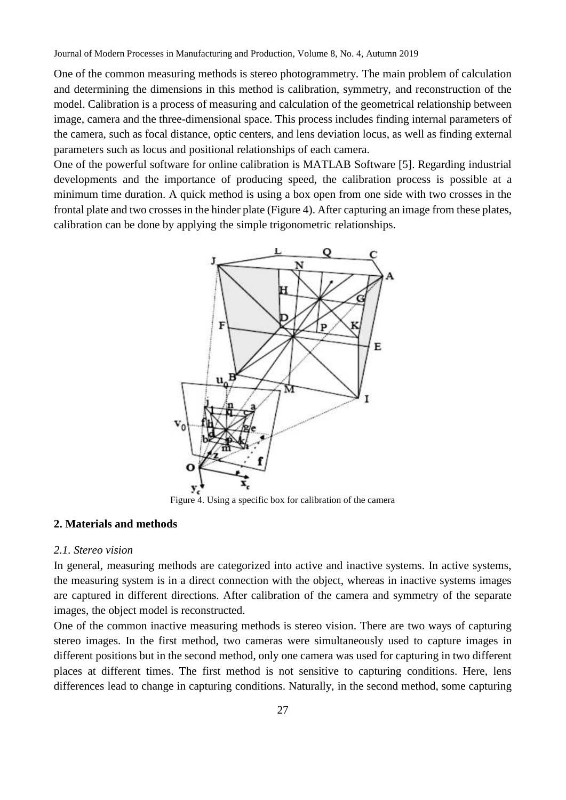One of the common measuring methods is stereo photogrammetry. The main problem of calculation and determining the dimensions in this method is calibration, symmetry, and reconstruction of the model. Calibration is a process of measuring and calculation of the geometrical relationship between image, camera and the three-dimensional space. This process includes finding internal parameters of the camera, such as focal distance, optic centers, and lens deviation locus, as well as finding external parameters such as locus and positional relationships of each camera.

One of the powerful software for online calibration is MATLAB Software [5]. Regarding industrial developments and the importance of producing speed, the calibration process is possible at a minimum time duration. A quick method is using a box open from one side with two crosses in the frontal plate and two crosses in the hinder plate (Figure 4). After capturing an image from these plates, calibration can be done by applying the simple trigonometric relationships.



Figure 4. Using a specific box for calibration of the camera

# **2. Materials and methods**

### *2.1. Stereo vision*

In general, measuring methods are categorized into active and inactive systems. In active systems, the measuring system is in a direct connection with the object, whereas in inactive systems images are captured in different directions. After calibration of the camera and symmetry of the separate images, the object model is reconstructed.

One of the common inactive measuring methods is stereo vision. There are two ways of capturing stereo images. In the first method, two cameras were simultaneously used to capture images in different positions but in the second method, only one camera was used for capturing in two different places at different times. The first method is not sensitive to capturing conditions. Here, lens differences lead to change in capturing conditions. Naturally, in the second method, some capturing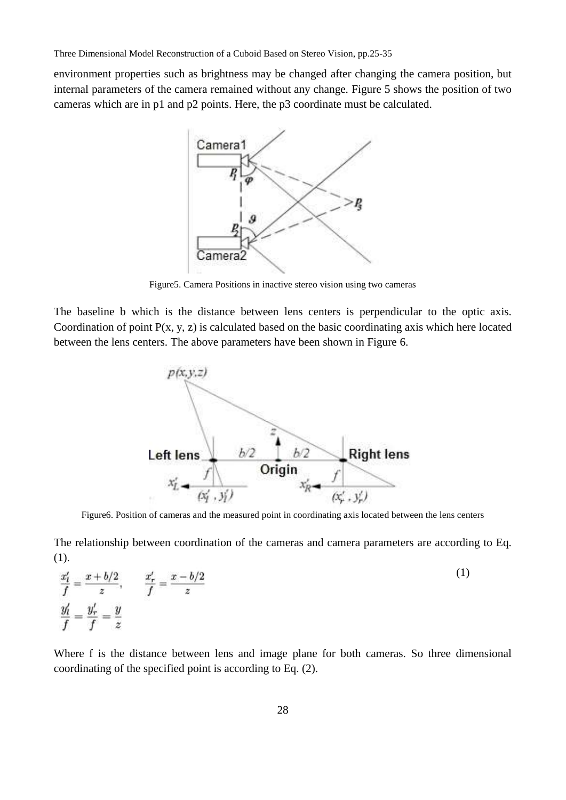environment properties such as brightness may be changed after changing the camera position, but internal parameters of the camera remained without any change. Figure 5 shows the position of two cameras which are in p1 and p2 points. Here, the p3 coordinate must be calculated.



Figure5. Camera Positions in inactive stereo vision using two cameras

The baseline b which is the distance between lens centers is perpendicular to the optic axis. Coordination of point P(x, y, z) is calculated based on the basic coordinating axis which here located between the lens centers. The above parameters have been shown in Figure 6.



Figure6. Position of cameras and the measured point in coordinating axis located between the lens centers

The relationship between coordination of the cameras and camera parameters are according to Eq. (1).

$$
\frac{x'_l}{f} = \frac{x+b/2}{z}, \qquad \frac{x'_r}{f} = \frac{x-b/2}{z}
$$
\n
$$
\frac{y'_l}{f} = \frac{y'_r}{f} = \frac{y}{z}
$$
\n(1)

Where f is the distance between lens and image plane for both cameras. So three dimensional coordinating of the specified point is according to Eq. (2).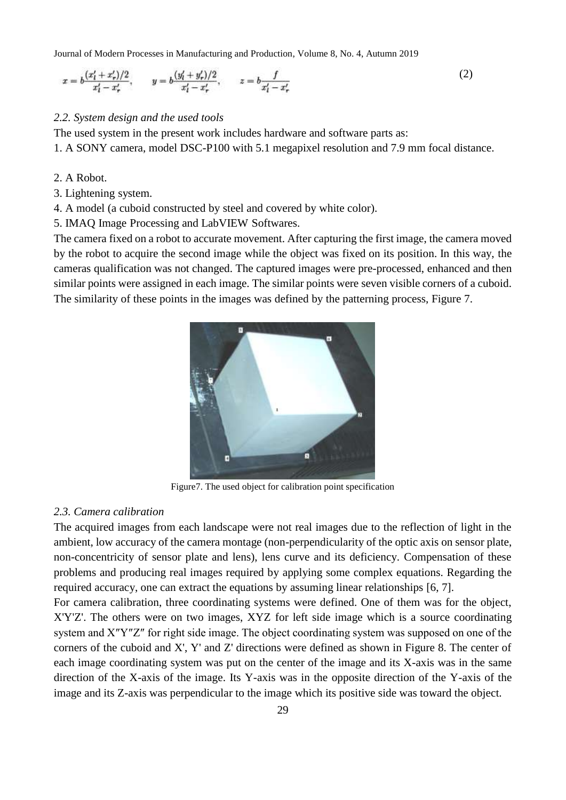Journal of Modern Processes in Manufacturing and Production, Volume 8, No. 4, Autumn 2019

$$
x = b \frac{(x'_l + x'_r)/2}{x'_l - x'_r}, \qquad y = b \frac{(y'_l + y'_r)/2}{x'_l - x'_r}, \qquad z = b \frac{f}{x'_l - x'_r} \tag{2}
$$

## *2.2. System design and the used tools*

The used system in the present work includes hardware and software parts as:

1. A SONY camera, model DSC-P100 with 5.1 megapixel resolution and 7.9 mm focal distance.

- 2. A Robot.
- 3. Lightening system.
- 4. A model (a cuboid constructed by steel and covered by white color).
- 5. IMAQ Image Processing and LabVIEW Softwares.

The camera fixed on a robot to accurate movement. After capturing the first image, the camera moved by the robot to acquire the second image while the object was fixed on its position. In this way, the cameras qualification was not changed. The captured images were pre-processed, enhanced and then similar points were assigned in each image. The similar points were seven visible corners of a cuboid. The similarity of these points in the images was defined by the patterning process, Figure 7.



Figure7. The used object for calibration point specification

#### *2.3. Camera calibration*

The acquired images from each landscape were not real images due to the reflection of light in the ambient, low accuracy of the camera montage (non-perpendicularity of the optic axis on sensor plate, non-concentricity of sensor plate and lens), lens curve and its deficiency. Compensation of these problems and producing real images required by applying some complex equations. Regarding the required accuracy, one can extract the equations by assuming linear relationships [6, 7].

For camera calibration, three coordinating systems were defined. One of them was for the object, X'Y'Z'. The others were on two images, XYZ for left side image which is a source coordinating system and X″Y″Z″ for right side image. The object coordinating system was supposed on one of the corners of the cuboid and X', Y' and Z' directions were defined as shown in Figure 8. The center of each image coordinating system was put on the center of the image and its X-axis was in the same direction of the X-axis of the image. Its Y-axis was in the opposite direction of the Y-axis of the image and its Z-axis was perpendicular to the image which its positive side was toward the object.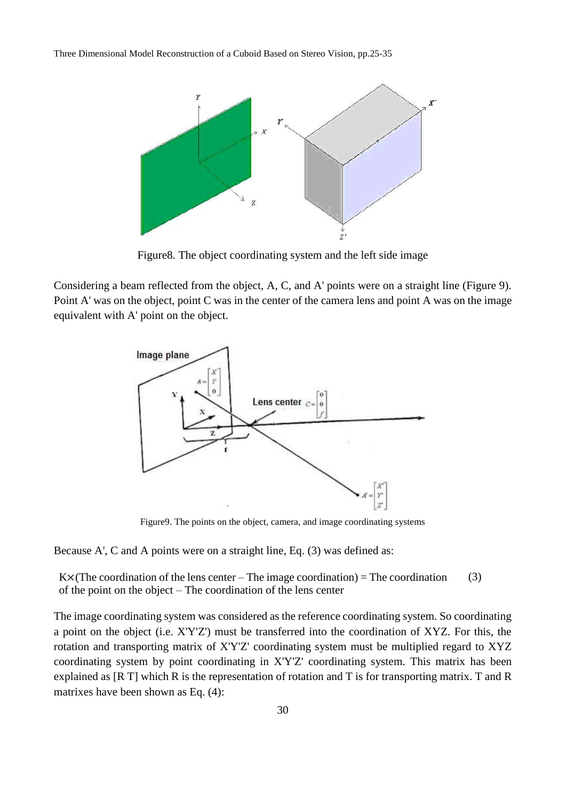

Figure8. The object coordinating system and the left side image

Considering a beam reflected from the object, A, C, and A' points were on a straight line (Figure 9). Point A' was on the object, point C was in the center of the camera lens and point A was on the image equivalent with A' point on the object.



Figure9. The points on the object, camera, and image coordinating systems

Because A', C and A points were on a straight line, Eq. (3) was defined as:

 $K \times (The coordination of the lens center - The image coordination) = The coordination$ of the point on the object – The coordination of the lens center (3)

The image coordinating system was considered as the reference coordinating system. So coordinating a point on the object (i.e. X'Y'Z') must be transferred into the coordination of XYZ. For this, the rotation and transporting matrix of X'Y'Z' coordinating system must be multiplied regard to XYZ coordinating system by point coordinating in X'Y'Z' coordinating system. This matrix has been explained as [R T] which R is the representation of rotation and T is for transporting matrix. T and R matrixes have been shown as Eq. (4):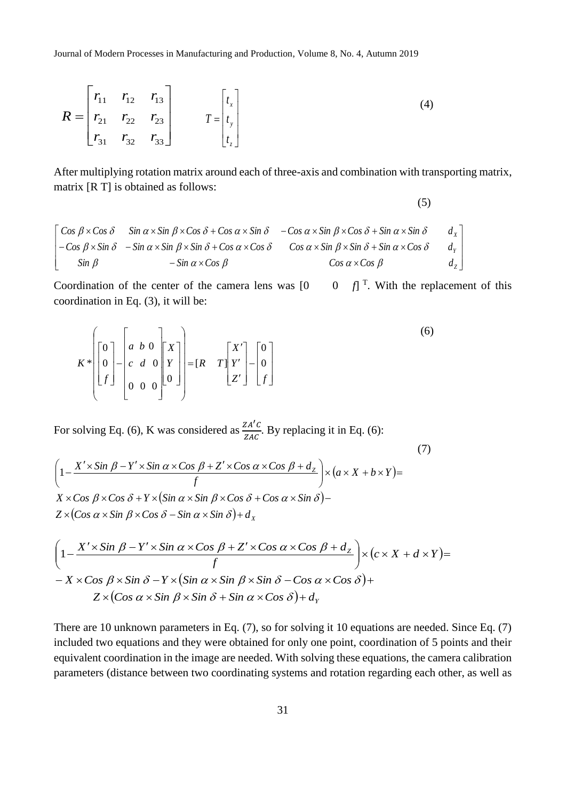$$
R = \begin{bmatrix} r_{11} & r_{12} & r_{13} \\ r_{21} & r_{22} & r_{23} \\ r_{31} & r_{32} & r_{33} \end{bmatrix} \qquad T = \begin{bmatrix} t_x \\ t_y \\ t_z \end{bmatrix}
$$
 (4)

After multiplying rotation matrix around each of three-axis and combination with transporting matrix, matrix [R T] is obtained as follows:

(5)

$$
\begin{bmatrix}\n\cos \beta \times \cos \delta & \sin \alpha \times \sin \beta \times \cos \delta + \cos \alpha \times \sin \delta & -\cos \alpha \times \sin \beta \times \cos \delta + \sin \alpha \times \sin \delta & d_x \\
-\cos \beta \times \sin \delta & -\sin \alpha \times \sin \beta \times \sin \delta + \cos \alpha \times \cos \delta & \cos \alpha \times \sin \beta \times \sin \delta + \sin \alpha \times \cos \delta & d_y \\
\sin \beta & -\sin \alpha \times \cos \beta & \cos \alpha \times \cos \beta & d_z\n\end{bmatrix}
$$

Coordination of the center of the camera lens was [0 <sup>T</sup>. With the replacement of this coordination in Eq. (3), it will be:

$$
K * \left[ \begin{bmatrix} 0 \\ 0 \\ f \end{bmatrix} - \begin{bmatrix} a & b & 0 \\ c & d & 0 \\ 0 & 0 & 0 \end{bmatrix} \begin{bmatrix} X \\ Y \\ 0 \end{bmatrix} \right] = [R \quad T] \begin{bmatrix} X' \\ Y' \\ Z' \end{bmatrix} - \begin{bmatrix} 0 \\ 0 \\ f \end{bmatrix}
$$
(6)

For solving Eq. (6), K was considered as  $\frac{ZA'C}{CA'C}$  $\frac{\Sigma AC}{ZAC}$ . By replacing it in Eq. (6):

(7)  
\n
$$
\left(1 - \frac{X' \times \sin \beta - Y' \times \sin \alpha \times \cos \beta + Z' \times \cos \alpha \times \cos \beta + d_z}{f}\right) \times (a \times X + b \times Y) =
$$
\n
$$
X \times \cos \beta \times \cos \delta + Y \times (\sin \alpha \times \sin \beta \times \cos \delta + \cos \alpha \times \sin \delta) -
$$
\n
$$
Z \times (\cos \alpha \times \sin \beta \times \cos \delta - \sin \alpha \times \sin \delta) + d_x
$$

$$
\left(1 - \frac{X' \times \sin \beta - Y' \times \sin \alpha \times \cos \beta + Z' \times \cos \alpha \times \cos \beta + d_z}{f}\right) \times (c \times X + d \times Y) =
$$
  
- X \times \cos \beta \times \sin \delta - Y \times (\sin \alpha \times \sin \beta \times \sin \delta - \cos \alpha \times \cos \delta) +  
Z \times (\cos \alpha \times \sin \beta \times \sin \delta + \sin \alpha \times \cos \delta) + d\_y

There are 10 unknown parameters in Eq. (7), so for solving it 10 equations are needed. Since Eq. (7) included two equations and they were obtained for only one point, coordination of 5 points and their equivalent coordination in the image are needed. With solving these equations, the camera calibration parameters (distance between two coordinating systems and rotation regarding each other, as well as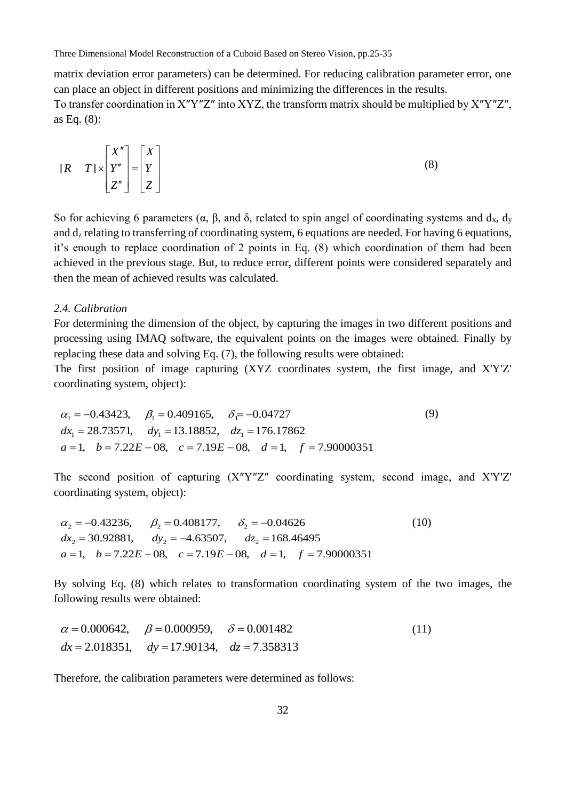Three Dimensional Model Reconstruction of a Cuboid Based on Stereo Vision, pp.25-35

matrix deviation error parameters) can be determined. For reducing calibration parameter error, one can place an object in different positions and minimizing the differences in the results.

To transfer coordination in X″Y″Z″ into XYZ, the transform matrix should be multiplied by X″Y″Z″, as Eq. (8):

$$
[R \quad T] \times \begin{bmatrix} X'' \\ Y'' \\ Z'' \end{bmatrix} = \begin{bmatrix} X \\ Y \\ Z \end{bmatrix}
$$
 (8)

So for achieving 6 parameters ( $\alpha$ ,  $\beta$ , and  $\delta$ , related to spin angel of coordinating systems and  $d_x$ ,  $d_y$ and d<sup>z</sup> relating to transferring of coordinating system, 6 equations are needed. For having 6 equations, it's enough to replace coordination of 2 points in Eq. (8) which coordination of them had been achieved in the previous stage. But, to reduce error, different points were considered separately and then the mean of achieved results was calculated.

# *2.4. Calibration*

For determining the dimension of the object, by capturing the images in two different positions and processing using IMAQ software, the equivalent points on the images were obtained. Finally by replacing these data and solving Eq. (7), the following results were obtained:

The first position of image capturing (XYZ coordinates system, the first image, and X'Y'Z' coordinating system, object):

$$
\alpha_1 = -0.43423, \quad \beta_1 = 0.409165, \quad \delta_1 = -0.04727
$$
\n
$$
dx_1 = 28.73571, \quad dy_1 = 13.18852, \quad dz_1 = 176.17862
$$
\n
$$
a = 1, \quad b = 7.22E - 08, \quad c = 7.19E - 08, \quad d = 1, \quad f = 7.90000351
$$
\n(9)

The second position of capturing (X″Y″Z″ coordinating system, second image, and X'Y'Z' coordinating system, object):

$$
\alpha_2 = -0.43236, \qquad \beta_2 = 0.408177, \qquad \delta_2 = -0.04626 \tag{10}
$$
\n
$$
dx_2 = 30.92881, \qquad dy_2 = -4.63507, \qquad dz_2 = 168.46495
$$
\n
$$
a = 1, \quad b = 7.22E - 08, \quad c = 7.19E - 08, \quad d = 1, \quad f = 7.90000351
$$

By solving Eq. (8) which relates to transformation coordinating system of the two images, the following results were obtained:

$$
\alpha = 0.000642, \quad \beta = 0.000959, \quad \delta = 0.001482
$$
\n  
\n $dx = 2.018351, \quad dy = 17.90134, \quad dz = 7.358313$ \n(11)

Therefore, the calibration parameters were determined as follows: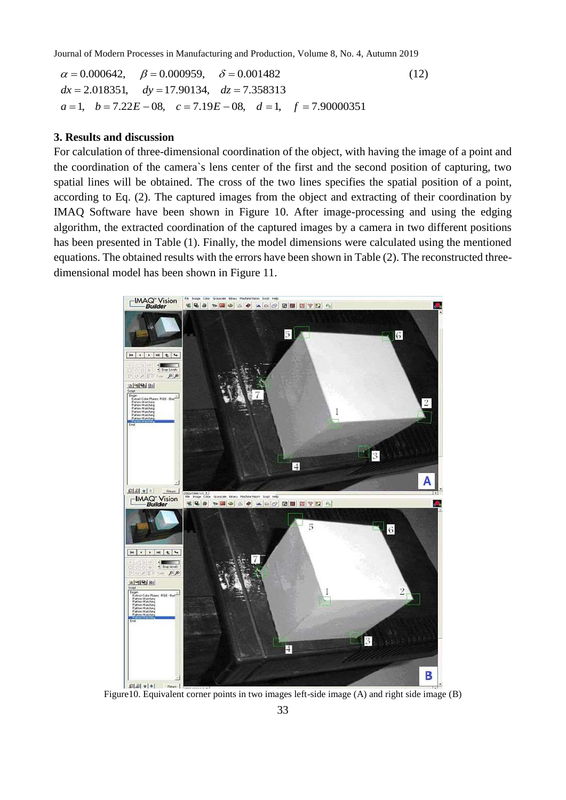Journal of Modern Processes in Manufacturing and Production, Volume 8, No. 4, Autumn 2019

 $a = 1$ ,  $b = 7.22E - 08$ ,  $c = 7.19E - 08$ ,  $d = 1$ ,  $f = 7.90000351$  $dx = 2.018351$ ,  $dy = 17.90134$ ,  $dz = 7.358313$  $\alpha = 0.000642, \quad \beta = 0.000959, \quad \delta = 0.001482$ (12)

# **3. Results and discussion**

For calculation of three-dimensional coordination of the object, with having the image of a point and the coordination of the camera`s lens center of the first and the second position of capturing, two spatial lines will be obtained. The cross of the two lines specifies the spatial position of a point, according to Eq. (2). The captured images from the object and extracting of their coordination by IMAQ Software have been shown in Figure 10. After image-processing and using the edging algorithm, the extracted coordination of the captured images by a camera in two different positions has been presented in Table (1). Finally, the model dimensions were calculated using the mentioned equations. The obtained results with the errors have been shown in Table (2). The reconstructed threedimensional model has been shown in Figure 11.



Figure10. Equivalent corner points in two images left-side image (A) and right side image (B)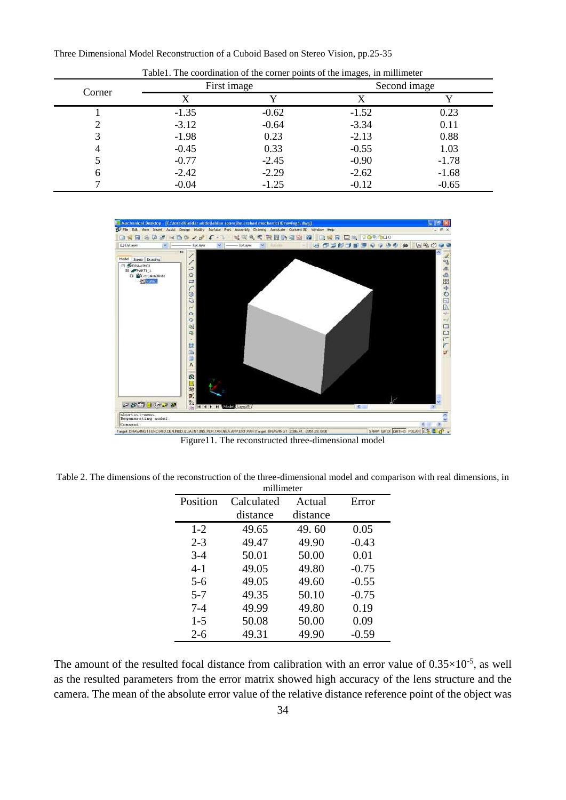| Corner | First image |         | Second image |         |
|--------|-------------|---------|--------------|---------|
|        |             |         |              |         |
|        | $-1.35$     | $-0.62$ | $-1.52$      | 0.23    |
|        | $-3.12$     | $-0.64$ | $-3.34$      | 0.11    |
|        | $-1.98$     | 0.23    | $-2.13$      | 0.88    |
|        | $-0.45$     | 0.33    | $-0.55$      | 1.03    |
|        | $-0.77$     | $-2.45$ | $-0.90$      | $-1.78$ |
|        | $-2.42$     | $-2.29$ | $-2.62$      | $-1.68$ |
|        | $-0.04$     | $-1.25$ | $-0.12$      | $-0.65$ |

Three Dimensional Model Reconstruction of a Cuboid Based on Stereo Vision, pp.25-35



Table 2. The dimensions of the reconstruction of the three-dimensional model and comparison with real dimensions, in millimeter

| ,,,,,,,,,,,,,,, |            |          |         |  |  |
|-----------------|------------|----------|---------|--|--|
| Position        | Calculated | Actual   | Error   |  |  |
|                 | distance   | distance |         |  |  |
| $1-2$           | 49.65      | 49.60    | 0.05    |  |  |
| $2 - 3$         | 49.47      | 49.90    | $-0.43$ |  |  |
| $3 - 4$         | 50.01      | 50.00    | 0.01    |  |  |
| $4 - 1$         | 49.05      | 49.80    | $-0.75$ |  |  |
| $5 - 6$         | 49.05      | 49.60    | $-0.55$ |  |  |
| $5 - 7$         | 49.35      | 50.10    | $-0.75$ |  |  |
| $7 - 4$         | 49.99      | 49.80    | 0.19    |  |  |
| $1 - 5$         | 50.08      | 50.00    | 0.09    |  |  |
| $2 - 6$         | 49.31      | 49.90    | $-0.59$ |  |  |

The amount of the resulted focal distance from calibration with an error value of  $0.35 \times 10^{-5}$ , as well as the resulted parameters from the error matrix showed high accuracy of the lens structure and the camera. The mean of the absolute error value of the relative distance reference point of the object was